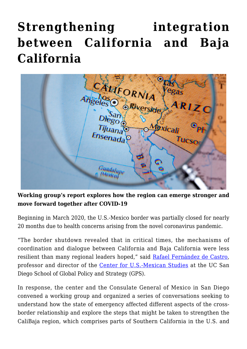## **[Strengthening integration](https://gpsnews.ucsd.edu/strengthening-integration-between-california-and-baja-california/) [between California and Baja](https://gpsnews.ucsd.edu/strengthening-integration-between-california-and-baja-california/) [California](https://gpsnews.ucsd.edu/strengthening-integration-between-california-and-baja-california/)**



**Working group's report explores how the region can emerge stronger and move forward together after COVID-19**

Beginning in March 2020, the U.S.-Mexico border was partially closed for nearly 20 months due to health concerns arising from the novel coronavirus pandemic.

"The border shutdown revealed that in critical times, the mechanisms of coordination and dialogue between California and Baja California were less resilient than many regional leaders hoped," said [Rafael Fernández de Castro,](https://gps.ucsd.edu/faculty-directory/rafael-fernandez-de-castro.html) professor and director of the [Center for U.S.-Mexican Studies](https://usmex.ucsd.edu/) at the UC San Diego School of Global Policy and Strategy (GPS).

In response, the center and the Consulate General of Mexico in San Diego convened a working group and organized a series of conversations seeking to understand how the state of emergency affected different aspects of the crossborder relationship and explore the steps that might be taken to strengthen the CaliBaja region, which comprises parts of Southern California in the U.S. and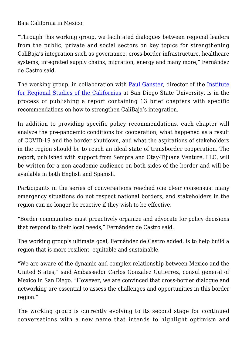Baja California in Mexico.

"Through this working group, we facilitated dialogues between regional leaders from the public, private and social sectors on key topics for strengthening CaliBaja's integration such as governance, cross-border infrastructure, healthcare systems, integrated supply chains, migration, energy and many more," Fernández de Castro said.

The working group, in collaboration with [Paul Ganster,](https://irsc.sdsu.edu/people) director of the [Institute](https://irsc.sdsu.edu/) [for Regional Studies of the Californias](https://irsc.sdsu.edu/) at San Diego State University, is in the process of publishing a report containing 13 brief chapters with specific recommendations on how to strengthen CaliBaja's integration.

In addition to providing specific policy recommendations, each chapter will analyze the pre-pandemic conditions for cooperation, what happened as a result of COVID-19 and the border shutdown, and what the aspirations of stakeholders in the region should be to reach an ideal state of transborder cooperation. The report, published with support from Sempra and Otay-Tijuana Venture, LLC, will be written for a non-academic audience on both sides of the border and will be available in both English and Spanish.

Participants in the series of conversations reached one clear consensus: many emergency situations do not respect national borders, and stakeholders in the region can no longer be reactive if they wish to be effective.

"Border communities must proactively organize and advocate for policy decisions that respond to their local needs," Fernández de Castro said.

The working group's ultimate goal, Fernández de Castro added, is to help build a region that is more resilient, equitable and sustainable.

"We are aware of the dynamic and complex relationship between Mexico and the United States," said Ambassador Carlos Gonzalez Gutierrez, consul general of Mexico in San Diego. "However, we are convinced that cross-border dialogue and networking are essential to assess the challenges and opportunities in this border region."

The working group is currently evolving to its second stage for continued conversations with a new name that intends to highlight optimism and